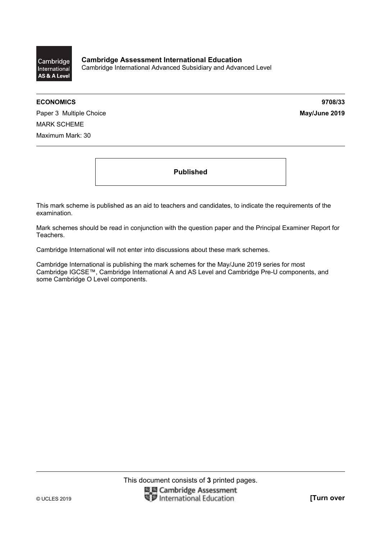

**ECONOMICS 9708/33** 

Paper 3 Multiple Choice **May/June 2019** MARK SCHEME Maximum Mark: 30

**Published** 

This mark scheme is published as an aid to teachers and candidates, to indicate the requirements of the examination.

Mark schemes should be read in conjunction with the question paper and the Principal Examiner Report for Teachers.

Cambridge International will not enter into discussions about these mark schemes.

Cambridge International is publishing the mark schemes for the May/June 2019 series for most Cambridge IGCSE™, Cambridge International A and AS Level and Cambridge Pre-U components, and some Cambridge O Level components.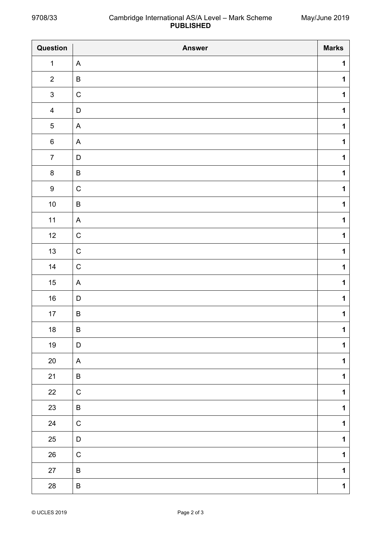| Question                | <b>Answer</b> | <b>Marks</b> |
|-------------------------|---------------|--------------|
| $\mathbf 1$             | A             | $\mathbf 1$  |
| $\overline{2}$          | $\sf B$       | $\mathbf 1$  |
| $\mathsf 3$             | $\mathsf C$   | $\mathbf 1$  |
| $\overline{\mathbf{4}}$ | D             | $\mathbf 1$  |
| $\sqrt{5}$              | A             | $\mathbf 1$  |
| $\,6\,$                 | A             | $\mathbf 1$  |
| $\boldsymbol{7}$        | D             | $\mathbf 1$  |
| $\bf 8$                 | $\sf B$       | $\mathbf 1$  |
| $\boldsymbol{9}$        | $\mathsf C$   | $\mathbf 1$  |
| $10\,$                  | B             | $\mathbf 1$  |
| $11$                    | A             | $\mathbf 1$  |
| 12                      | $\mathsf C$   | $\mathbf 1$  |
| 13                      | $\mathsf C$   | $\mathbf 1$  |
| 14                      | $\mathsf C$   | $\mathbf 1$  |
| $15\,$                  | A             | $\mathbf 1$  |
| $16\,$                  | D             | $\mathbf 1$  |
| $17\,$                  | $\sf B$       | $\mathbf 1$  |
| $18\,$                  | $\sf B$       | $\mathbf 1$  |
| $19$                    | D             | $\mathbf 1$  |
| $20\,$                  | A             | $\mathbf 1$  |
| 21                      | B             | $\mathbf 1$  |
| $22\,$                  | $\mathsf C$   | $\mathbf 1$  |
| 23                      | B             | $\mathbf 1$  |
| 24                      | ${\bf C}$     | $\mathbf 1$  |
| 25                      | D             | $\mathbf 1$  |
| $26\,$                  | ${\bf C}$     | $\mathbf 1$  |
| 27                      | B             | $\mathbf 1$  |
| ${\bf 28}$              | $\sf B$       | $\mathbf 1$  |